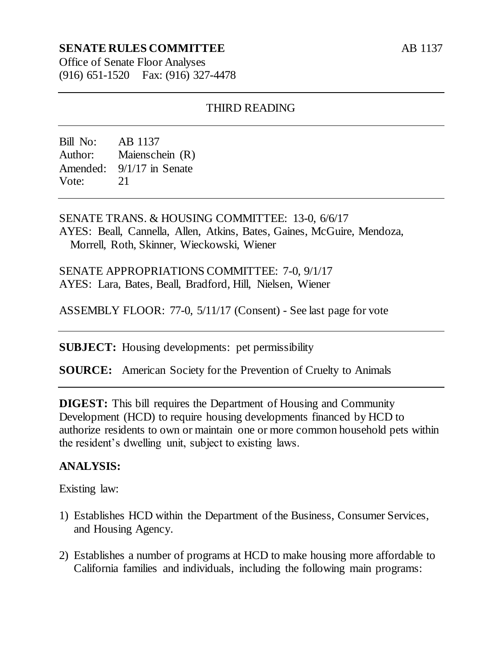# **SENATE RULES COMMITTEE**

AB 1137

Office of Senate Floor Analyses (916) 651-1520 Fax: (916) 327-4478

### THIRD READING

Bill No: AB 1137 Author: Maienschein (R) Amended: 9/1/17 in Senate Vote: 21

SENATE TRANS. & HOUSING COMMITTEE: 13-0, 6/6/17 AYES: Beall, Cannella, Allen, Atkins, Bates, Gaines, McGuire, Mendoza, Morrell, Roth, Skinner, Wieckowski, Wiener

SENATE APPROPRIATIONS COMMITTEE: 7-0, 9/1/17 AYES: Lara, Bates, Beall, Bradford, Hill, Nielsen, Wiener

ASSEMBLY FLOOR: 77-0, 5/11/17 (Consent) - See last page for vote

**SUBJECT:** Housing developments: pet permissibility

**SOURCE:** American Society for the Prevention of Cruelty to Animals

**DIGEST:** This bill requires the Department of Housing and Community Development (HCD) to require housing developments financed by HCD to authorize residents to own or maintain one or more common household pets within the resident's dwelling unit, subject to existing laws.

#### **ANALYSIS:**

Existing law:

- 1) Establishes HCD within the Department of the Business, Consumer Services, and Housing Agency.
- 2) Establishes a number of programs at HCD to make housing more affordable to California families and individuals, including the following main programs: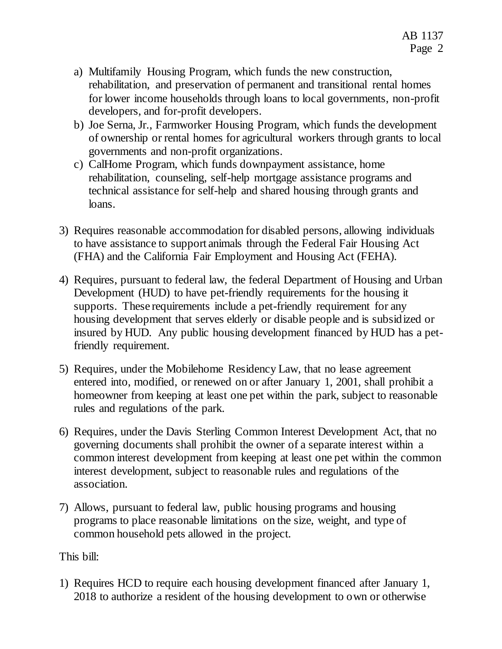- a) Multifamily Housing Program, which funds the new construction, rehabilitation, and preservation of permanent and transitional rental homes for lower income households through loans to local governments, non-profit developers, and for-profit developers.
- b) Joe Serna, Jr., Farmworker Housing Program, which funds the development of ownership or rental homes for agricultural workers through grants to local governments and non-profit organizations.
- c) CalHome Program, which funds downpayment assistance, home rehabilitation, counseling, self-help mortgage assistance programs and technical assistance for self-help and shared housing through grants and loans.
- 3) Requires reasonable accommodation for disabled persons, allowing individuals to have assistance to support animals through the Federal Fair Housing Act (FHA) and the California Fair Employment and Housing Act (FEHA).
- 4) Requires, pursuant to federal law, the federal Department of Housing and Urban Development (HUD) to have pet-friendly requirements for the housing it supports. These requirements include a pet-friendly requirement for any housing development that serves elderly or disable people and is subsidized or insured by HUD. Any public housing development financed by HUD has a petfriendly requirement.
- 5) Requires, under the Mobilehome Residency Law, that no lease agreement entered into, modified, or renewed on or after January 1, 2001, shall prohibit a homeowner from keeping at least one pet within the park, subject to reasonable rules and regulations of the park.
- 6) Requires, under the Davis Sterling Common Interest Development Act, that no governing documents shall prohibit the owner of a separate interest within a common interest development from keeping at least one pet within the common interest development, subject to reasonable rules and regulations of the association.
- 7) Allows, pursuant to federal law, public housing programs and housing programs to place reasonable limitations on the size, weight, and type of common household pets allowed in the project.

This bill:

1) Requires HCD to require each housing development financed after January 1, 2018 to authorize a resident of the housing development to own or otherwise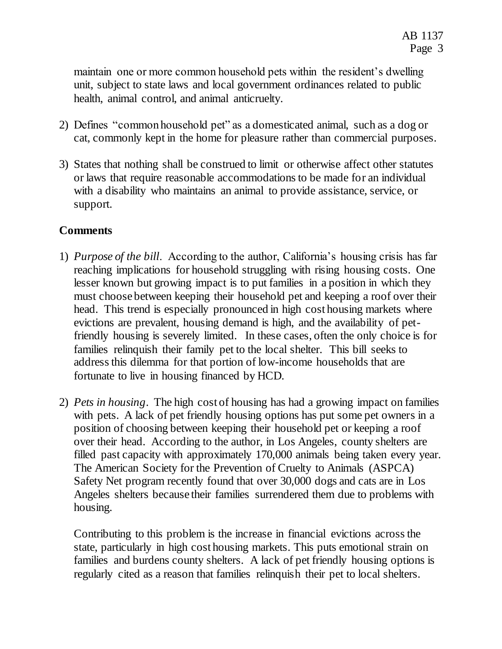maintain one or more common household pets within the resident's dwelling unit, subject to state laws and local government ordinances related to public health, animal control, and animal anticruelty.

- 2) Defines "common household pet" as a domesticated animal, such as a dog or cat, commonly kept in the home for pleasure rather than commercial purposes.
- 3) States that nothing shall be construed to limit or otherwise affect other statutes or laws that require reasonable accommodations to be made for an individual with a disability who maintains an animal to provide assistance, service, or support.

# **Comments**

- 1) *Purpose of the bill*. According to the author, California's housing crisis has far reaching implications for household struggling with rising housing costs. One lesser known but growing impact is to put families in a position in which they must choose between keeping their household pet and keeping a roof over their head. This trend is especially pronounced in high cost housing markets where evictions are prevalent, housing demand is high, and the availability of petfriendly housing is severely limited. In these cases, often the only choice is for families relinquish their family pet to the local shelter. This bill seeks to address this dilemma for that portion of low-income households that are fortunate to live in housing financed by HCD.
- 2) *Pets in housing*. The high cost of housing has had a growing impact on families with pets. A lack of pet friendly housing options has put some pet owners in a position of choosing between keeping their household pet or keeping a roof over their head. According to the author, in Los Angeles, county shelters are filled past capacity with approximately 170,000 animals being taken every year. The American Society for the Prevention of Cruelty to Animals (ASPCA) Safety Net program recently found that over 30,000 dogs and cats are in Los Angeles shelters because their families surrendered them due to problems with housing.

Contributing to this problem is the increase in financial evictions across the state, particularly in high cost housing markets. This puts emotional strain on families and burdens county shelters. A lack of pet friendly housing options is regularly cited as a reason that families relinquish their pet to local shelters.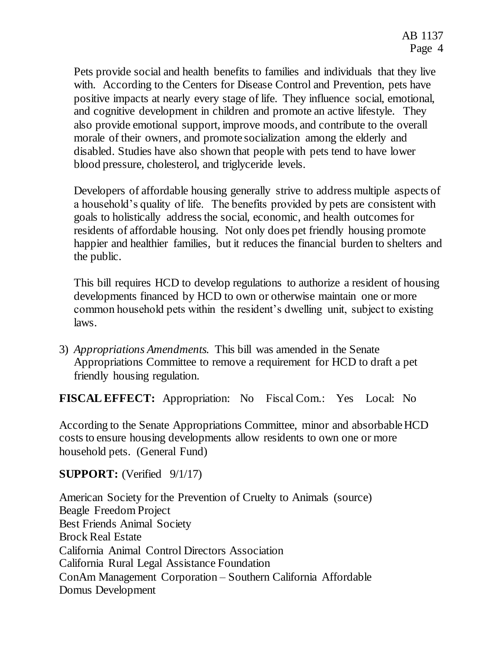Pets provide social and health benefits to families and individuals that they live with. According to the Centers for Disease Control and Prevention, pets have positive impacts at nearly every stage of life. They influence social, emotional, and cognitive development in children and promote an active lifestyle. They also provide emotional support, improve moods, and contribute to the overall morale of their owners, and promote socialization among the elderly and disabled. Studies have also shown that people with pets tend to have lower blood pressure, cholesterol, and triglyceride levels.

Developers of affordable housing generally strive to address multiple aspects of a household's quality of life. The benefits provided by pets are consistent with goals to holistically address the social, economic, and health outcomes for residents of affordable housing. Not only does pet friendly housing promote happier and healthier families, but it reduces the financial burden to shelters and the public.

This bill requires HCD to develop regulations to authorize a resident of housing developments financed by HCD to own or otherwise maintain one or more common household pets within the resident's dwelling unit, subject to existing laws.

3) *Appropriations Amendments.* This bill was amended in the Senate Appropriations Committee to remove a requirement for HCD to draft a pet friendly housing regulation.

**FISCAL EFFECT:** Appropriation: No Fiscal Com.: Yes Local: No

According to the Senate Appropriations Committee, minor and absorbable HCD costs to ensure housing developments allow residents to own one or more household pets. (General Fund)

# **SUPPORT:** (Verified  $9/1/17$ )

American Society for the Prevention of Cruelty to Animals (source) Beagle Freedom Project Best Friends Animal Society Brock Real Estate California Animal Control Directors Association California Rural Legal Assistance Foundation ConAm Management Corporation – Southern California Affordable Domus Development